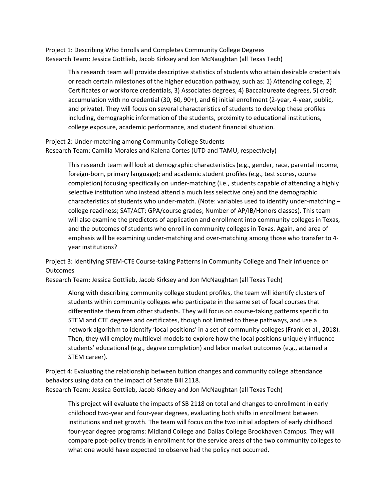Project 1: Describing Who Enrolls and Completes Community College Degrees Research Team: Jessica Gottlieb, Jacob Kirksey and Jon McNaughtan (all Texas Tech)

This research team will provide descriptive statistics of students who attain desirable credentials or reach certain milestones of the higher education pathway, such as: 1) Attending college, 2) Certificates or workforce credentials, 3) Associates degrees, 4) Baccalaureate degrees, 5) credit accumulation with no credential (30, 60, 90+), and 6) initial enrollment (2-year, 4-year, public, and private). They will focus on several characteristics of students to develop these profiles including, demographic information of the students, proximity to educational institutions, college exposure, academic performance, and student financial situation.

Project 2: Under-matching among Community College Students Research Team: Camilla Morales and Kalena Cortes (UTD and TAMU, respectively)

This research team will look at demographic characteristics (e.g., gender, race, parental income, foreign-born, primary language); and academic student profiles (e.g., test scores, course completion) focusing specifically on under-matching (i.e., students capable of attending a highly selective institution who instead attend a much less selective one) and the demographic characteristics of students who under-match. (Note: variables used to identify under-matching – college readiness; SAT/ACT; GPA/course grades; Number of AP/IB/Honors classes). This team will also examine the predictors of application and enrollment into community colleges in Texas, and the outcomes of students who enroll in community colleges in Texas. Again, and area of emphasis will be examining under-matching and over-matching among those who transfer to 4 year institutions?

Project 3: Identifying STEM-CTE Course-taking Patterns in Community College and Their influence on **Outcomes** 

Research Team: Jessica Gottlieb, Jacob Kirksey and Jon McNaughtan (all Texas Tech)

Along with describing community college student profiles, the team will identify clusters of students within community colleges who participate in the same set of focal courses that differentiate them from other students. They will focus on course-taking patterns specific to STEM and CTE degrees and certificates, though not limited to these pathways, and use a network algorithm to identify 'local positions' in a set of community colleges (Frank et al., 2018). Then, they will employ multilevel models to explore how the local positions uniquely influence students' educational (e.g., degree completion) and labor market outcomes (e.g., attained a STEM career).

Project 4: Evaluating the relationship between tuition changes and community college attendance behaviors using data on the impact of Senate Bill 2118. Research Team: Jessica Gottlieb, Jacob Kirksey and Jon McNaughtan (all Texas Tech)

This project will evaluate the impacts of SB 2118 on total and changes to enrollment in early childhood two-year and four-year degrees, evaluating both shifts in enrollment between institutions and net growth. The team will focus on the two initial adopters of early childhood four-year degree programs: Midland College and Dallas College Brookhaven Campus. They will compare post-policy trends in enrollment for the service areas of the two community colleges to what one would have expected to observe had the policy not occurred.